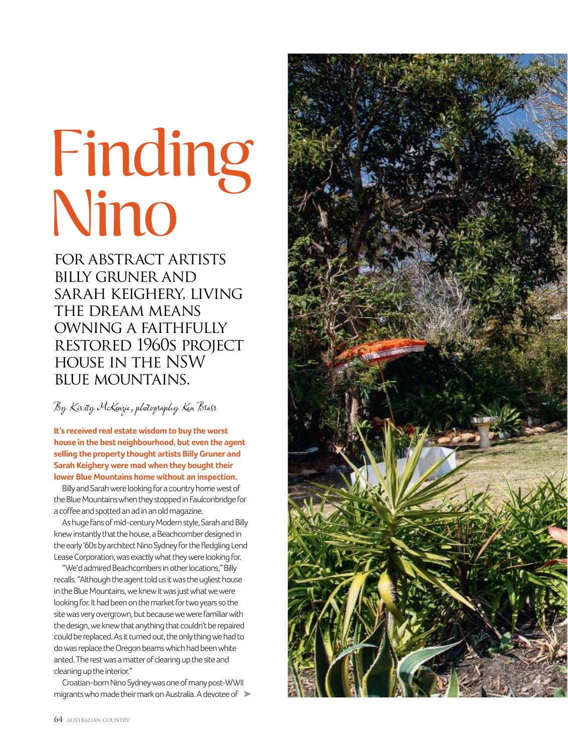## Finding Nino

for abstract artists billy gruner and sarah keighery, living THE DREAM MEANS owning a faithfully restored 1960s project house in the NSW blue mountains.

By Kirsty McKenzie, photography Ken Brass

**It's received real estate wisdom to buy the worst house in the best neighbourhood, but even the agent selling the property thought artists Billy Gruner and Sarah Keighery were mad when they bought their lower Blue Mountains home without an inspection.**

Billy and Sarah were looking for a country home west of the Blue Mountains when they stopped in Faulconbridge for a coffee and spotted an ad in an old magazine.

As huge fans of mid-century Modern style, Sarah and Billy knew instantly that the house, a Beachcomber designed in the early '60s by architect Nino Sydney for the fledgling Lend Lease Corporation, was exactly what they were looking for.

"We'd admired Beachcombers in other locations," Billy recalls. "Although the agent told us it was the ugliest house in the Blue Mountains, we knew it was just what we were looking for. It had been on the market for two years so the site was very overgrown, but because we were familiar with the design, we knew that anything that couldn't be repaired could be replaced. As it turned out, the only thing we had to do was replace the Oregon beams which had been white anted. The rest was a matter of clearing up the site and cleaning up the interior."

Croatian-born Nino Sydney was one of many post-WWII migrants who made their mark on Australia. A devotee of

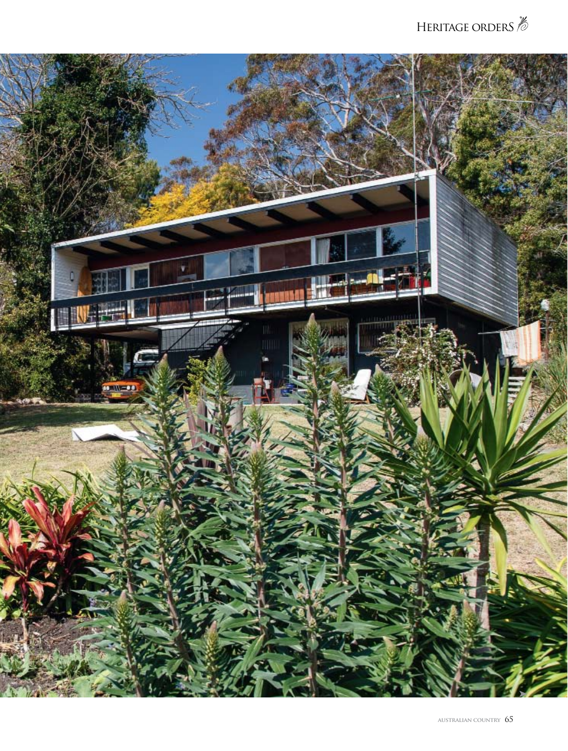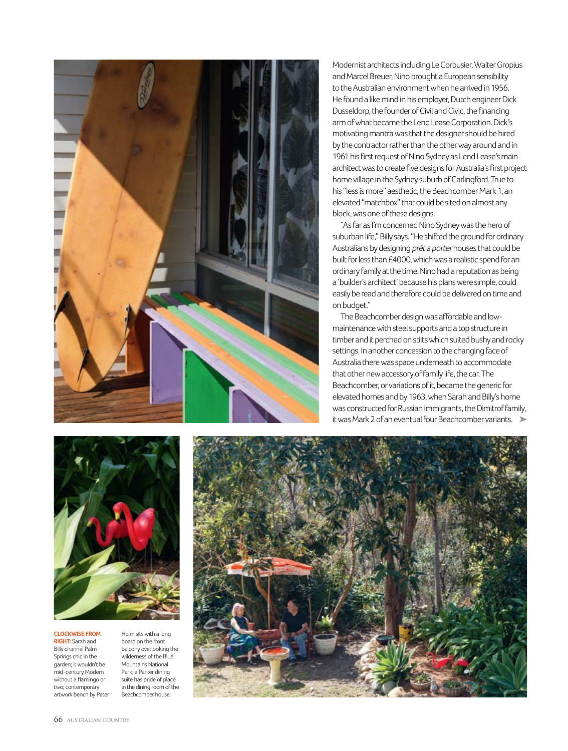

Modernist architects including Le Corbusier, Walter Gropius and Marcel Breuer, Nino brought a European sensibility to the Australian environment when he arrived in 1956. He found a like mind in his employer, Dutch engineer Dick Dusseldorp, the founder of Civil and Civic, the financing arm of what became the Lend Lease Corporation. Dick's motivating mantra was that the designer should be hired by the contractor rather than the other way around and in 1961 his first request of Nino Sydney as Lend Lease's main architect was to create five designs for Australia's first project home village in the Sydney suburb of Carlingford. True to his "less is more" aesthetic, the Beachcomber Mark 1, an elevated "matchbox" that could be sited on almost any block, was one of these designs.

"As far as I'm concerned Nino Sydney was the hero of suburban life," Billy says. "He shifted the ground for ordinary Australians by designing prêt a porter houses that could be built for less than £4000, which was a realistic spend for an ordinary family at the time. Nino had a reputation as being a 'builder's architect' because his plans were simple, could easily be read and therefore could be delivered on time and on budget."

The Beachcomber design was affordable and lowmaintenance with steel supports and a top structure in timber and it perched on stilts which suited bushy and rocky settings. In another concession to the changing face of Australia there was space underneath to accommodate that other new accessory of family life, the car. The Beachcomber, or variations of it, became the generic for elevated homes and by 1963, when Sarah and Billy's home was constructed for Russian immigrants, the Dimitrof family, it was Mark 2 of an eventual four Beachcomber variants.



**CLOCKWISE FROM RIGHT:** Sarah and Billy channel Palm Springs chic in the garden; it wouldn't be mid-century Modern without a flamingo or two; contemporary artwork bench by Peter Holm sits with a long board on the front balcony overlooking the wilderness of the Blue Mountains National Park; a Parker dining suite has pride of place in the dining room of the Beachcomber house.

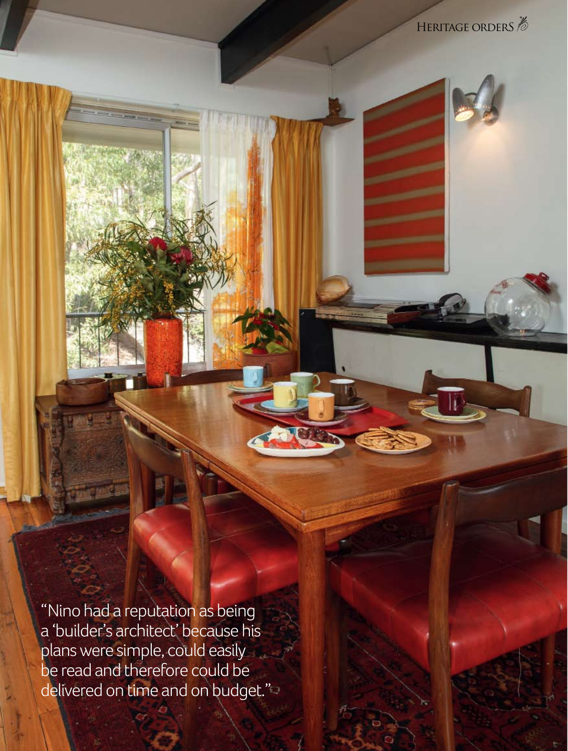**australian country** 67

"Nino had a reputation as being a 'builder's architect' because his plans were simple, could easily be read and therefore could be delivered on time and on budget."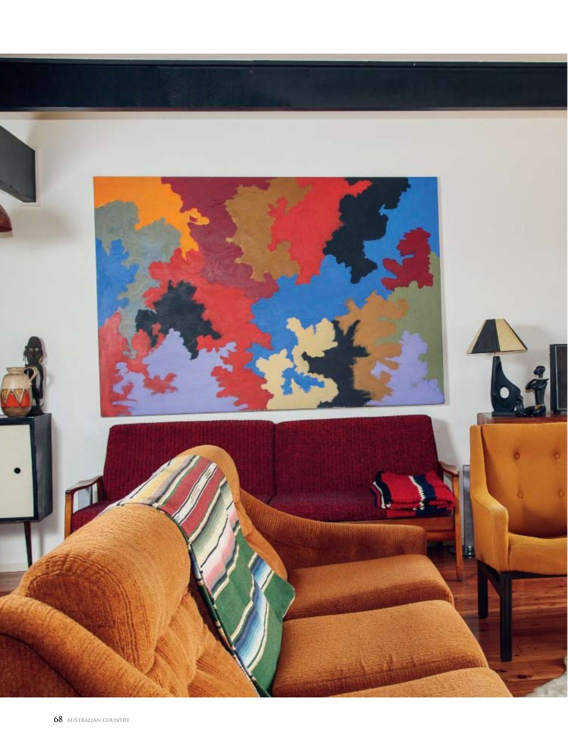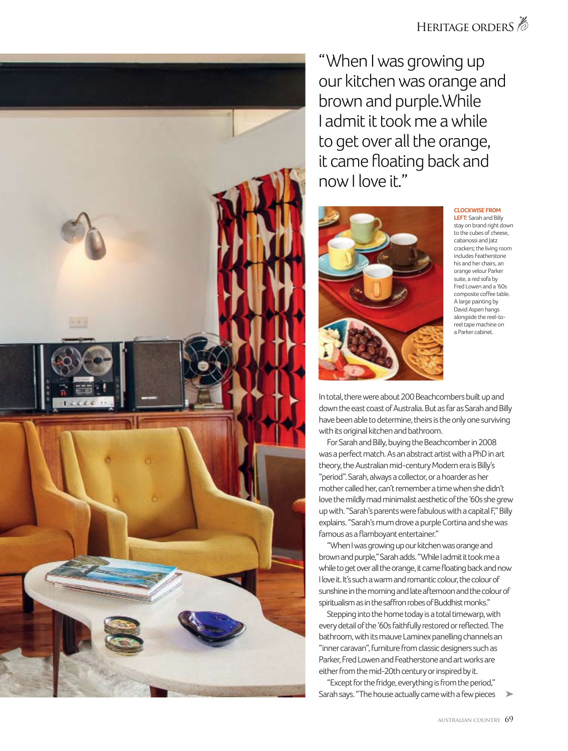"When I was growing up our kitchen was orange and brown and purple.While I admit it took me a while to get over all the orange, it came floating back and now I love it."



**CLOCKWISE FROM**

**LEFT:** Sarah and Billy stay on brand right down to the cubes of cheese, cabanossi and Jatz crackers; the living room includes Featherstone his and her chairs, an orange velour Parker suite, a red sofa by Fred Lowen and a '60s composite coffee table. A large painting by David Aspen hangs alongside the reel-toreel tape machine on a Parker cabinet.



For Sarah and Billy, buying the Beachcomber in 2008 was a perfect match. As an abstract artist with a PhD in art theory, the Australian mid-century Modern era is Billy's "period". Sarah, always a collector, or a hoarder as her mother called her, can't remember a time when she didn't love the mildly mad minimalist aesthetic of the '60s she grew up with. "Sarah's parents were fabulous with a capital F," Billy explains. "Sarah's mum drove a purple Cortina and she was famous as a flamboyant entertainer."

"When I was growing up our kitchen was orange and brown and purple," Sarah adds. "While I admit it took me a while to get over all the orange, it came floating back and now I love it. It's such a warm and romantic colour, the colour of sunshine in the morning and late afternoon and the colour of spiritualism as in the saffron robes of Buddhist monks."

Stepping into the home today is a total timewarp, with every detail of the '60s faithfully restored or reflected. The bathroom, with its mauve Laminex panelling channels an "inner caravan", furniture from classic designers such as Parker, Fred Lowen and Featherstone and art works are either from the mid-20th century or inspired by it.

"Except for the fridge, everything is from the period," Sarah says. "The house actually came with a few pieces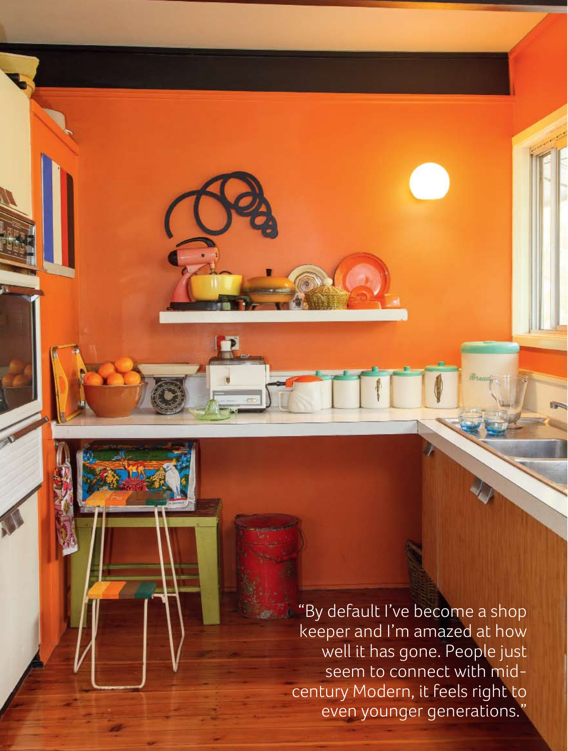"By default I've become a shop keeper and I'm amazed at how well it has gone. People just seem to connect with midcentury Modern, it feels right to even younger generations."

70 **australian country**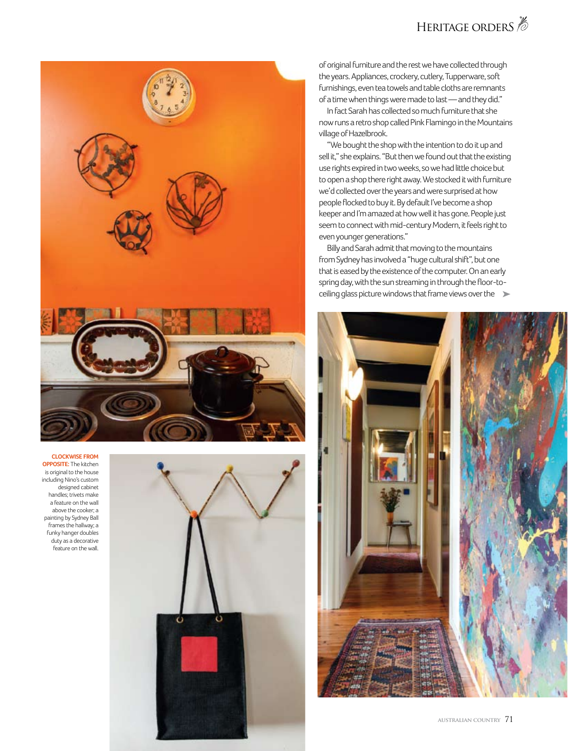## HERITAGE ORDERS



**CLOCKWISE FROM**

**OPPOSITE:** The kitchen is original to the house including Nino's custom designed cabinet handles; trivets make a feature on the wall above the cooker; a painting by Sydney Ball frames the hallway; a funky hanger doubles duty as a decorative feature on the wall.



of original furniture and the rest we have collected through the years. Appliances, crockery, cutlery, Tupperware, soft furnishings, even tea towels and table cloths are remnants of a time when things were made to last — and they did."

In fact Sarah has collected so much furniture that she now runs a retro shop called Pink Flamingo in the Mountains village of Hazelbrook.

"We bought the shop with the intention to do it up and sell it," she explains. "But then we found out that the existing use rights expired in two weeks, so we had little choice but to open a shop there right away. We stocked it with furniture we'd collected over the years and were surprised at how people flocked to buy it. By default I've become a shop keeper and I'm amazed at how well it has gone. People just seem to connect with mid-century Modern, it feels right to even younger generations."

Billy and Sarah admit that moving to the mountains from Sydney has involved a "huge cultural shift", but one that is eased by the existence of the computer. On an early spring day, with the sun streaming in through the floor-toceiling glass picture windows that frame views over the